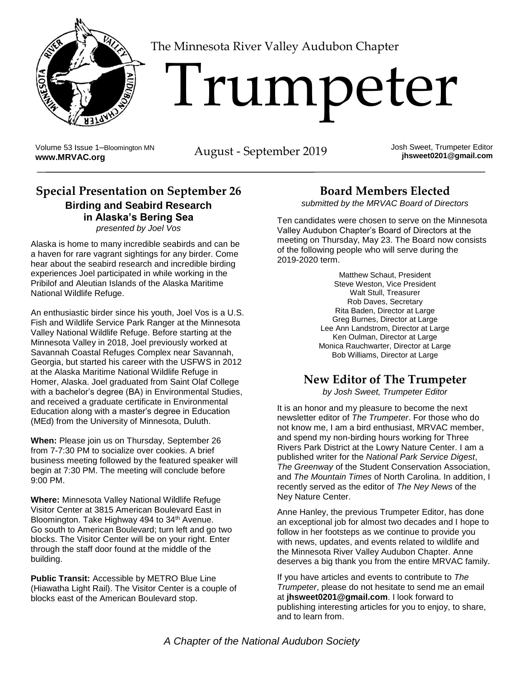

The Minnesota River Valley Audubon Chapter

# 'I'rumpeter

Volume 53 Issue 1–Bloomington MN Volume 53 Issue 1-Bloomington MN<br>**WWW.MRVAC.org** August - September 2019

Josh Sweet, Trumpeter Editor **jhsweet0201@gmail.com**

#### **Special Presentation on September 26 Birding and Seabird Research in Alaska's Bering Sea** *presented by Joel Vos*

Alaska is home to many incredible seabirds and can be a haven for rare vagrant sightings for any birder. Come hear about the seabird research and incredible birding experiences Joel participated in while working in the Pribilof and Aleutian Islands of the Alaska Maritime National Wildlife Refuge.

An enthusiastic birder since his youth, Joel Vos is a U.S. Fish and Wildlife Service Park Ranger at the Minnesota Valley National Wildlife Refuge. Before starting at the Minnesota Valley in 2018, Joel previously worked at Savannah Coastal Refuges Complex near Savannah, Georgia, but started his career with the USFWS in 2012 at the Alaska Maritime National Wildlife Refuge in Homer, Alaska. Joel graduated from Saint Olaf College with a bachelor's degree (BA) in Environmental Studies, and received a graduate certificate in Environmental Education along with a master's degree in Education (MEd) from the University of Minnesota, Duluth.

**When:** Please join us on Thursday, September 26 from 7-7:30 PM to socialize over cookies. A brief business meeting followed by the featured speaker will begin at 7:30 PM. The meeting will conclude before 9:00 PM.

**Where:** Minnesota Valley National Wildlife Refuge Visitor Center at 3815 American Boulevard East in Bloomington. Take Highway 494 to 34<sup>th</sup> Avenue. Go south to American Boulevard; turn left and go two blocks. The Visitor Center will be on your right. Enter through the staff door found at the middle of the building.

**Public Transit:** Accessible by METRO Blue Line (Hiawatha Light Rail). The Visitor Center is a couple of blocks east of the American Boulevard stop.

#### **Board Members Elected**

*submitted by the MRVAC Board of Directors*

Ten candidates were chosen to serve on the Minnesota Valley Audubon Chapter's Board of Directors at the meeting on Thursday, May 23. The Board now consists of the following people who will serve during the 2019-2020 term.

> Matthew Schaut, President Steve Weston, Vice President Walt Stull, Treasurer Rob Daves, Secretary Rita Baden, Director at Large Greg Burnes, Director at Large Lee Ann Landstrom, Director at Large Ken Oulman, Director at Large Monica Rauchwarter, Director at Large Bob Williams, Director at Large

#### **New Editor of The Trumpeter**

*by Josh Sweet, Trumpeter Editor*

It is an honor and my pleasure to become the next newsletter editor of *The Trumpeter*. For those who do not know me, I am a bird enthusiast, MRVAC member, and spend my non-birding hours working for Three Rivers Park District at the Lowry Nature Center. I am a published writer for the *National Park Service Digest*, *The Greenway* of the Student Conservation Association, and *The Mountain Times* of North Carolina. In addition, I recently served as the editor of *The Ney News* of the Ney Nature Center.

Anne Hanley, the previous Trumpeter Editor, has done an exceptional job for almost two decades and I hope to follow in her footsteps as we continue to provide you with news, updates, and events related to wildlife and the Minnesota River Valley Audubon Chapter. Anne deserves a big thank you from the entire MRVAC family.

If you have articles and events to contribute to *The Trumpeter*, please do not hesitate to send me an email at **jhsweet0201@gmail.com**. I look forward to publishing interesting articles for you to enjoy, to share, and to learn from.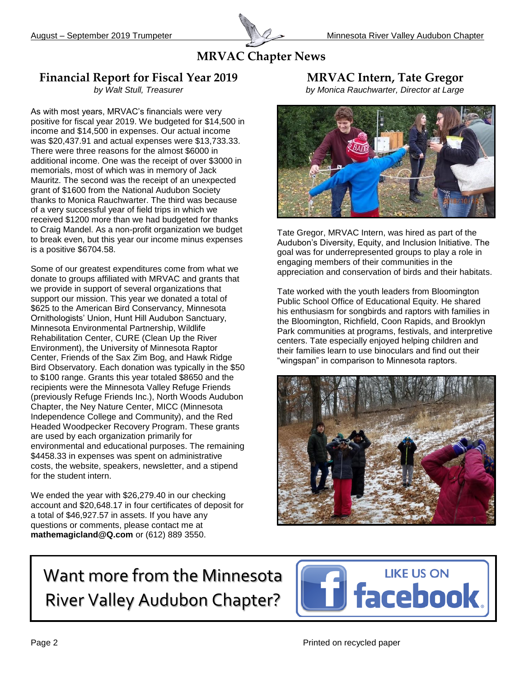

#### **MRVAC Chapter News**

#### **Financial Report for Fiscal Year 2019**

*by Walt Stull, Treasurer*

As with most years, MRVAC's financials were very positive for fiscal year 2019. We budgeted for \$14,500 in income and \$14,500 in expenses. Our actual income was \$20,437.91 and actual expenses were \$13,733.33. There were three reasons for the almost \$6000 in additional income. One was the receipt of over \$3000 in memorials, most of which was in memory of Jack Mauritz. The second was the receipt of an unexpected grant of \$1600 from the National Audubon Society thanks to Monica Rauchwarter. The third was because of a very successful year of field trips in which we received \$1200 more than we had budgeted for thanks to Craig Mandel. As a non-profit organization we budget to break even, but this year our income minus expenses is a positive \$6704.58.

Some of our greatest expenditures come from what we donate to groups affiliated with MRVAC and grants that we provide in support of several organizations that support our mission. This year we donated a total of \$625 to the American Bird Conservancy, Minnesota Ornithologists' Union, Hunt Hill Audubon Sanctuary, Minnesota Environmental Partnership, Wildlife Rehabilitation Center, CURE (Clean Up the River Environment), the University of Minnesota Raptor Center, Friends of the Sax Zim Bog, and Hawk Ridge Bird Observatory. Each donation was typically in the \$50 to \$100 range. Grants this year totaled \$8650 and the recipients were the Minnesota Valley Refuge Friends (previously Refuge Friends Inc.), North Woods Audubon Chapter, the Ney Nature Center, MICC (Minnesota Independence College and Community), and the Red Headed Woodpecker Recovery Program. These grants are used by each organization primarily for environmental and educational purposes. The remaining \$4458.33 in expenses was spent on administrative costs, the website, speakers, newsletter, and a stipend for the student intern.

We ended the year with \$26,279.40 in our checking account and \$20,648.17 in four certificates of deposit for a total of \$46,927.57 in assets. If you have any questions or comments, please contact me at **mathemagicland@Q.com** or (612) 889 3550.

**MRVAC Intern, Tate Gregor**

*by Monica Rauchwarter, Director at Large*



Tate Gregor, MRVAC Intern, was hired as part of the Audubon's Diversity, Equity, and Inclusion Initiative. The goal was for underrepresented groups to play a role in engaging members of their communities in the appreciation and conservation of birds and their habitats.

Tate worked with the youth leaders from Bloomington Public School Office of Educational Equity. He shared his enthusiasm for songbirds and raptors with families in the Bloomington, Richfield, Coon Rapids, and Brooklyn Park communities at programs, festivals, and interpretive centers. Tate especially enjoyed helping children and their families learn to use binoculars and find out their "wingspan" in comparison to Minnesota raptors.



# Want more from the Minnesota River Valley Audubon Chapter?

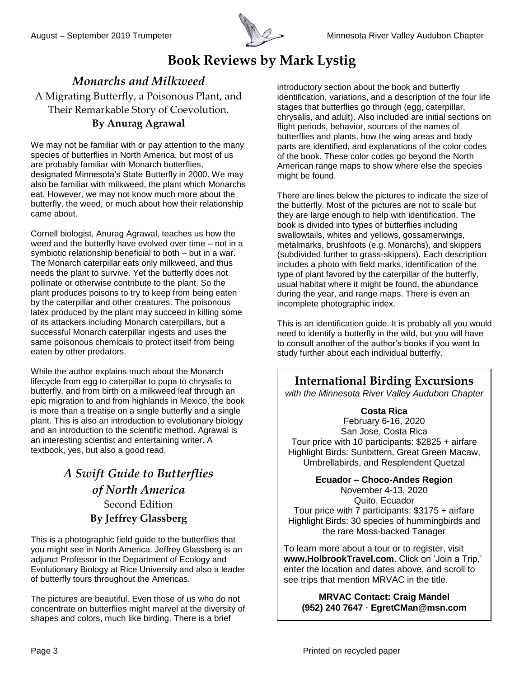

# **Book Reviews by Mark Lystig**

#### *Monarchs and Milkweed* A Migrating Butterfly, a Poisonous Plant, and Their Remarkable Story of Coevolution.

#### **By Anurag Agrawal**

We may not be familiar with or pay attention to the many species of butterflies in North America, but most of us are probably familiar with Monarch butterflies, designated Minnesota's State Butterfly in 2000. We may also be familiar with milkweed, the plant which Monarchs eat. However, we may not know much more about the butterfly, the weed, or much about how their relationship came about.

Cornell biologist, Anurag Agrawal, teaches us how the weed and the butterfly have evolved over time – not in a symbiotic relationship beneficial to both – but in a war. The Monarch caterpillar eats only milkweed, and thus needs the plant to survive. Yet the butterfly does not pollinate or otherwise contribute to the plant. So the plant produces poisons to try to keep from being eaten by the caterpillar and other creatures. The poisonous latex produced by the plant may succeed in killing some of its attackers including Monarch caterpillars, but a successful Monarch caterpillar ingests and uses the same poisonous chemicals to protect itself from being eaten by other predators.

While the author explains much about the Monarch lifecycle from egg to caterpillar to pupa to chrysalis to butterfly, and from birth on a milkweed leaf through an epic migration to and from highlands in Mexico, the book is more than a treatise on a single butterfly and a single plant. This is also an introduction to evolutionary biology and an introduction to the scientific method. Agrawal is an interesting scientist and entertaining writer. A textbook, yes, but also a good read.

#### *A Swift Guide to Butterflies of North America* Second Edition **By Jeffrey Glassberg**

This is a photographic field guide to the butterflies that you might see in North America. Jeffrey Glassberg is an adjunct Professor in the Department of Ecology and Evolutionary Biology at Rice University and also a leader of butterfly tours throughout the Americas.

The pictures are beautiful. Even those of us who do not concentrate on butterflies might marvel at the diversity of shapes and colors, much like birding. There is a brief

introductory section about the book and butterfly identification, variations, and a description of the four life stages that butterflies go through (egg, caterpillar, chrysalis, and adult). Also included are initial sections on flight periods, behavior, sources of the names of butterflies and plants, how the wing areas and body parts are identified, and explanations of the color codes of the book. These color codes go beyond the North American range maps to show where else the species might be found.

There are lines below the pictures to indicate the size of the butterfly. Most of the pictures are not to scale but they are large enough to help with identification. The book is divided into types of butterflies including swallowtails, whites and yellows, gossamerwings, metalmarks, brushfoots (e.g. Monarchs), and skippers (subdivided further to grass-skippers). Each description includes a photo with field marks, identification of the type of plant favored by the caterpillar of the butterfly, usual habitat where it might be found, the abundance during the year, and range maps. There is even an incomplete photographic index.

This is an identification guide. It is probably all you would need to identify a butterfly in the wild, but you will have to consult another of the author's books if you want to study further about each individual butterfly.

**International Birding Excursions**

*with the Minnesota River Valley Audubon Chapter*

#### **Costa Rica**

February 6-16, 2020 San Jose, Costa Rica Tour price with 10 participants: \$2825 + airfare Highlight Birds: Sunbittern, Great Green Macaw, Umbrellabirds, and Resplendent Quetzal

**Ecuador – Choco-Andes Region**

November 4-13, 2020 Quito, Ecuador Tour price with 7 participants: \$3175 + airfare Highlight Birds: 30 species of hummingbirds and the rare Moss-backed Tanager

To learn more about a tour or to register, visit **www.HolbrookTravel.com**. Click on 'Join a Trip,' enter the location and dates above, and scroll to see trips that mention MRVAC in the title.

**MRVAC Contact: Craig Mandel (952) 240 7647 · EgretCMan@msn.com**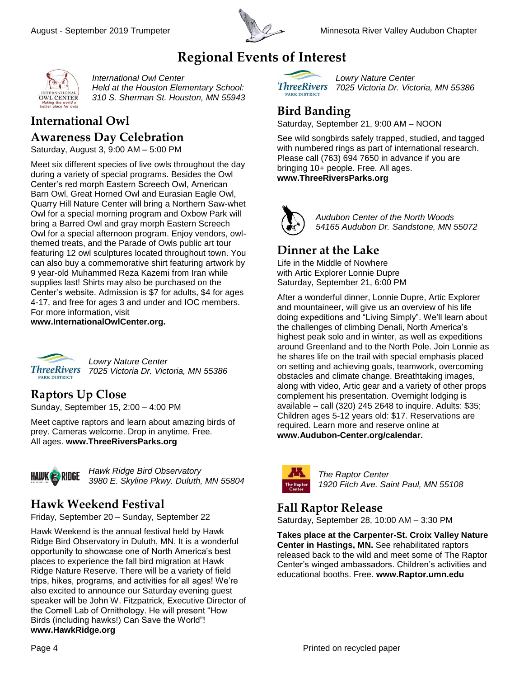

## **Regional Events of Interest**



*International Owl Center* 

*Held at the Houston Elementary School: 310 S. Sherman St. Houston, MN 55943*

### **International Owl**

#### **Awareness Day Celebration**

Saturday, August 3, 9:00 AM – 5:00 PM

Meet six different species of live owls throughout the day during a variety of special programs. Besides the Owl Center's red morph Eastern Screech Owl, American Barn Owl, Great Horned Owl and Eurasian Eagle Owl, Quarry Hill Nature Center will bring a Northern Saw-whet Owl for a special morning program and Oxbow Park will bring a Barred Owl and gray morph Eastern Screech Owl for a special afternoon program. Enjoy vendors, owlthemed treats, and the Parade of Owls public art tour featuring 12 owl sculptures located throughout town. You can also buy a commemorative shirt featuring artwork by 9 year-old Muhammed Reza Kazemi from Iran while supplies last! Shirts may also be purchased on the Center's website. Admission is \$7 for adults, \$4 for ages 4-17, and free for ages 3 and under and IOC members. For more information, visit

**www.InternationalOwlCenter.org.**



*Lowry Nature Center 7025 Victoria Dr. Victoria, MN 55386*

#### **Raptors Up Close**

Sunday, September 15, 2:00 – 4:00 PM

Meet captive raptors and learn about amazing birds of prey. Cameras welcome. Drop in anytime. Free. All ages. **www.ThreeRiversParks.org**



*Hawk Ridge Bird Observatory 3980 E. Skyline Pkwy. Duluth, MN 55804*

#### **Hawk Weekend Festival**

Friday, September 20 – Sunday, September 22

Hawk Weekend is the annual festival held by Hawk Ridge Bird Observatory in Duluth, MN. It is a wonderful opportunity to showcase one of North America's best places to experience the fall bird migration at Hawk Ridge Nature Reserve. There will be a variety of field trips, hikes, programs, and activities for all ages! We're also excited to announce our Saturday evening guest speaker will be John W. Fitzpatrick, Executive Director of the Cornell Lab of Ornithology. He will present "How Birds (including hawks!) Can Save the World"! **www.HawkRidge.org**



*Lowry Nature Center 7025 Victoria Dr. Victoria, MN 55386*

#### **Bird Banding**

Saturday, September 21, 9:00 AM – NOON

See wild songbirds safely trapped, studied, and tagged with numbered rings as part of international research. Please call (763) 694 7650 in advance if you are bringing 10+ people. Free. All ages. **www.ThreeRiversParks.org**

*Audubon Center of the North Woods 54165 Audubon Dr. Sandstone, MN 55072*

#### **Dinner at the Lake**

Life in the Middle of Nowhere with Artic Explorer Lonnie Dupre Saturday, September 21, 6:00 PM

After a wonderful dinner, Lonnie Dupre, Artic Explorer and mountaineer, will give us an overview of his life doing expeditions and "Living Simply". We'll learn about the challenges of climbing Denali, North America's highest peak solo and in winter, as well as expeditions around Greenland and to the North Pole. Join Lonnie as he shares life on the trail with special emphasis placed on setting and achieving goals, teamwork, overcoming obstacles and climate change. Breathtaking images, along with video, Artic gear and a variety of other props complement his presentation. Overnight lodging is available – call (320) 245 2648 to inquire. Adults: \$35; Children ages 5-12 years old: \$17. Reservations are required. Learn more and reserve online at **www.Audubon-Center.org/calendar.**



*The Raptor Center 1920 Fitch Ave. Saint Paul, MN 55108*

#### **Fall Raptor Release**

Saturday, September 28, 10:00 AM – 3:30 PM

**Takes place at the Carpenter-St. Croix Valley Nature Center in Hastings, MN.** See rehabilitated raptors released back to the wild and meet some of The Raptor Center's winged ambassadors. Children's activities and educational booths. Free. **www.Raptor.umn.edu**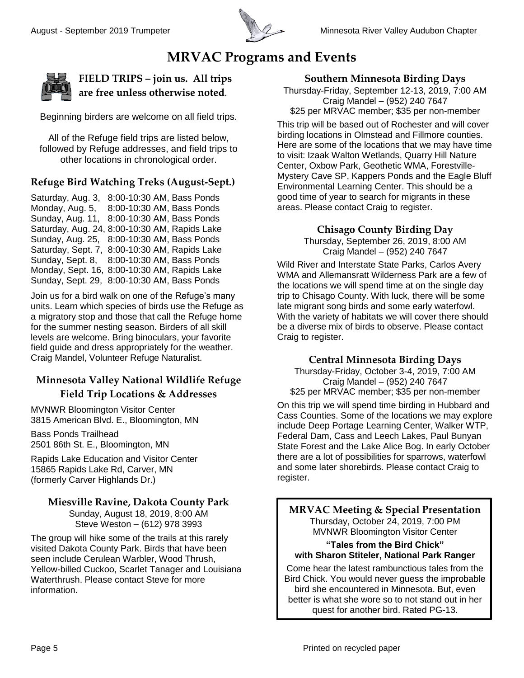

#### **MRVAC Programs and Events**



**FIELD TRIPS – join us. All trips are free unless otherwise noted**.

Beginning birders are welcome on all field trips.

All of the Refuge field trips are listed below, followed by Refuge addresses, and field trips to other locations in chronological order.

#### **Refuge Bird Watching Treks (August-Sept.)**

Saturday, Aug. 3, 8:00-10:30 AM, Bass Ponds Monday, Aug. 5, 8:00-10:30 AM, Bass Ponds Sunday, Aug. 11, 8:00-10:30 AM, Bass Ponds Saturday, Aug. 24, 8:00-10:30 AM, Rapids Lake Sunday, Aug. 25, 8:00-10:30 AM, Bass Ponds Saturday, Sept. 7, 8:00-10:30 AM, Rapids Lake Sunday, Sept. 8, 8:00-10:30 AM, Bass Ponds Monday, Sept. 16, 8:00-10:30 AM, Rapids Lake Sunday, Sept. 29, 8:00-10:30 AM, Bass Ponds

Join us for a bird walk on one of the Refuge's many units. Learn which species of birds use the Refuge as a migratory stop and those that call the Refuge home for the summer nesting season. Birders of all skill levels are welcome. Bring binoculars, your favorite field guide and dress appropriately for the weather. Craig Mandel, Volunteer Refuge Naturalist.

#### **Minnesota Valley National Wildlife Refuge Field Trip Locations & Addresses**

MVNWR Bloomington Visitor Center 3815 American Blvd. E., Bloomington, MN

Bass Ponds Trailhead 2501 86th St. E., Bloomington, MN

Rapids Lake Education and Visitor Center 15865 Rapids Lake Rd, Carver, MN (formerly Carver Highlands Dr.)

#### **Miesville Ravine, Dakota County Park**

Sunday, August 18, 2019, 8:00 AM Steve Weston – (612) 978 3993

The group will hike some of the trails at this rarely visited Dakota County Park. Birds that have been seen include Cerulean Warbler, Wood Thrush, Yellow-billed Cuckoo, Scarlet Tanager and Louisiana Waterthrush. Please contact Steve for more information.

#### **Southern Minnesota Birding Days**

Thursday-Friday, September 12-13, 2019, 7:00 AM Craig Mandel – (952) 240 7647 \$25 per MRVAC member; \$35 per non-member

This trip will be based out of Rochester and will cover birding locations in Olmstead and Fillmore counties. Here are some of the locations that we may have time to visit: Izaak Walton Wetlands, Quarry Hill Nature Center, Oxbow Park, Geothetic WMA, Forestville-Mystery Cave SP, Kappers Ponds and the Eagle Bluff Environmental Learning Center. This should be a good time of year to search for migrants in these areas. Please contact Craig to register.

#### **Chisago County Birding Day**

Thursday, September 26, 2019, 8:00 AM Craig Mandel – (952) 240 7647

Wild River and Interstate State Parks, Carlos Avery WMA and Allemansratt Wilderness Park are a few of the locations we will spend time at on the single day trip to Chisago County. With luck, there will be some late migrant song birds and some early waterfowl. With the variety of habitats we will cover there should be a diverse mix of birds to observe. Please contact Craig to register.

#### **Central Minnesota Birding Days**

Thursday-Friday, October 3-4, 2019, 7:00 AM Craig Mandel – (952) 240 7647 \$25 per MRVAC member; \$35 per non-member

On this trip we will spend time birding in Hubbard and Cass Counties. Some of the locations we may explore include Deep Portage Learning Center, Walker WTP, Federal Dam, Cass and Leech Lakes, Paul Bunyan State Forest and the Lake Alice Bog. In early October there are a lot of possibilities for sparrows, waterfowl and some later shorebirds. Please contact Craig to register.

**MRVAC Meeting & Special Presentation** Thursday, October 24, 2019, 7:00 PM MVNWR Bloomington Visitor Center

#### **"Tales from the Bird Chick" with Sharon Stiteler, National Park Ranger**

Come hear the latest rambunctious tales from the Bird Chick. You would never guess the improbable bird she encountered in Minnesota. But, even better is what she wore so to not stand out in her quest for another bird. Rated PG-13.